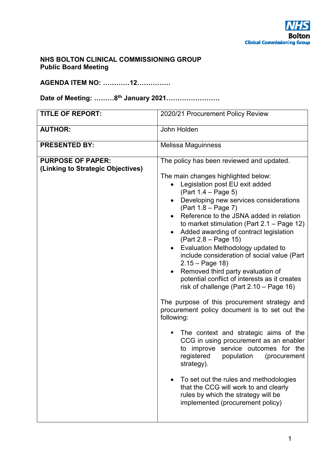### **NHS BOLTON CLINICAL COMMISSIONING GROUP Public Board Meeting**

**AGENDA ITEM NO: …………12……………** 

**Date of Meeting: ………8th January 2021……………………** 

| <b>TITLE OF REPORT:</b>                                       | 2020/21 Procurement Policy Review                                                                                                                                                                                                                                                                                                                                                                                                                                                                                                                                                                                                                                                                                                                                                                                                                                                                                                                                                                                                                                                                      |
|---------------------------------------------------------------|--------------------------------------------------------------------------------------------------------------------------------------------------------------------------------------------------------------------------------------------------------------------------------------------------------------------------------------------------------------------------------------------------------------------------------------------------------------------------------------------------------------------------------------------------------------------------------------------------------------------------------------------------------------------------------------------------------------------------------------------------------------------------------------------------------------------------------------------------------------------------------------------------------------------------------------------------------------------------------------------------------------------------------------------------------------------------------------------------------|
| <b>AUTHOR:</b>                                                | John Holden                                                                                                                                                                                                                                                                                                                                                                                                                                                                                                                                                                                                                                                                                                                                                                                                                                                                                                                                                                                                                                                                                            |
| <b>PRESENTED BY:</b>                                          | Melissa Maguinness                                                                                                                                                                                                                                                                                                                                                                                                                                                                                                                                                                                                                                                                                                                                                                                                                                                                                                                                                                                                                                                                                     |
| <b>PURPOSE OF PAPER:</b><br>(Linking to Strategic Objectives) | The policy has been reviewed and updated.<br>The main changes highlighted below:<br>Legislation post EU exit added<br>$(Part 1.4 - Page 5)$<br>Developing new services considerations<br>$(Part 1.8 - Page 7)$<br>Reference to the JSNA added in relation<br>to market stimulation (Part $2.1 - Page 12$ )<br>Added awarding of contract legislation<br>$(Part 2.8 - Page 15)$<br>Evaluation Methodology updated to<br>include consideration of social value (Part<br>$2.15 - Page 18$<br>Removed third party evaluation of<br>potential conflict of interests as it creates<br>risk of challenge (Part $2.10$ – Page 16)<br>The purpose of this procurement strategy and<br>procurement policy document is to set out the<br>following:<br>The context and strategic aims of the<br>п<br>CCG in using procurement as an enabler<br>to improve service outcomes for the<br>registered population (procurement<br>strategy).<br>To set out the rules and methodologies<br>$\bullet$<br>that the CCG will work to and clearly<br>rules by which the strategy will be<br>implemented (procurement policy) |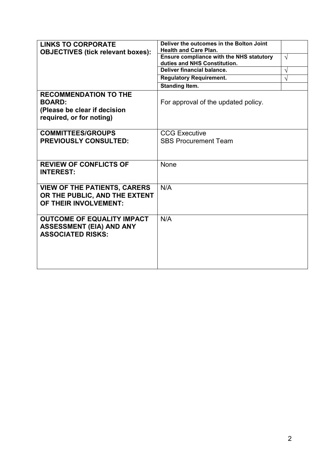| <b>LINKS TO CORPORATE</b>                                                                                 | Deliver the outcomes in the Bolton Joint<br><b>Health and Care Plan.</b> |            |
|-----------------------------------------------------------------------------------------------------------|--------------------------------------------------------------------------|------------|
| <b>OBJECTIVES (tick relevant boxes):</b>                                                                  | Ensure compliance with the NHS statutory                                 | $\sqrt{ }$ |
|                                                                                                           | duties and NHS Constitution.                                             |            |
|                                                                                                           | Deliver financial balance.                                               | N          |
|                                                                                                           | <b>Regulatory Requirement.</b>                                           | N          |
|                                                                                                           | <b>Standing Item.</b>                                                    |            |
| <b>RECOMMENDATION TO THE</b><br><b>BOARD:</b><br>(Please be clear if decision<br>required, or for noting) | For approval of the updated policy.                                      |            |
| <b>COMMITTEES/GROUPS</b>                                                                                  | <b>CCG Executive</b>                                                     |            |
| <b>PREVIOUSLY CONSULTED:</b>                                                                              | <b>SBS Procurement Team</b>                                              |            |
|                                                                                                           |                                                                          |            |
| <b>REVIEW OF CONFLICTS OF</b><br><b>INTEREST:</b>                                                         | <b>None</b>                                                              |            |
| <b>VIEW OF THE PATIENTS, CARERS</b><br>OR THE PUBLIC, AND THE EXTENT<br>OF THEIR INVOLVEMENT:             | N/A                                                                      |            |
| <b>OUTCOME OF EQUALITY IMPACT</b><br><b>ASSESSMENT (EIA) AND ANY</b><br><b>ASSOCIATED RISKS:</b>          | N/A                                                                      |            |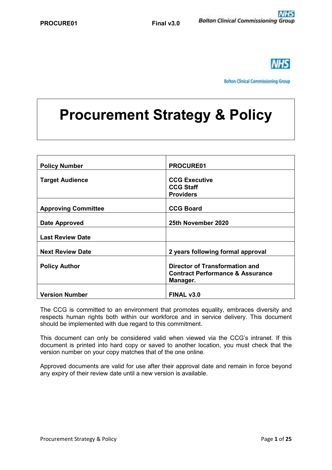

**Bolton Clinical Commissioning Group** 

# **Procurement Strategy & Policy**

| <b>Policy Number</b>       | PROCURE01                                                                                        |
|----------------------------|--------------------------------------------------------------------------------------------------|
| <b>Target Audience</b>     | <b>CCG Executive</b><br><b>CCG Staff</b><br><b>Providers</b>                                     |
| <b>Approving Committee</b> | <b>CCG Board</b>                                                                                 |
| <b>Date Approved</b>       | 25th November 2020                                                                               |
| <b>Last Review Date</b>    |                                                                                                  |
| <b>Next Review Date</b>    | 2 years following formal approval                                                                |
| <b>Policy Author</b>       | <b>Director of Transformation and</b><br><b>Contract Performance &amp; Assurance</b><br>Manager. |
| <b>Version Number</b>      | FINAL v3.0                                                                                       |

The CCG is committed to an environment that promotes equality, embraces diversity and respects human rights both within our workforce and in service delivery. This document should be implemented with due regard to this commitment.

This document can only be considered valid when viewed via the CCG's intranet. If this document is printed into hard copy or saved to another location, you must check that the version number on your copy matches that of the one online.

Approved documents are valid for use after their approval date and remain in force beyond any expiry of their review date until a new version is available.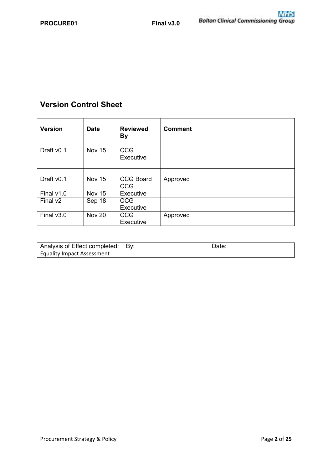## **Version Control Sheet**

| <b>Version</b>         | <b>Date</b>   | <b>Reviewed</b><br><b>By</b> | <b>Comment</b> |
|------------------------|---------------|------------------------------|----------------|
| Draft v <sub>0.1</sub> | Nov 15        | <b>CCG</b><br>Executive      |                |
|                        |               |                              |                |
| Draft v <sub>0.1</sub> | <b>Nov 15</b> | <b>CCG Board</b>             | Approved       |
|                        |               | <b>CCG</b>                   |                |
| Final $v1.0$           | <b>Nov 15</b> | Executive                    |                |
| Final v <sub>2</sub>   | Sep 18        | <b>CCG</b>                   |                |
|                        |               | Executive                    |                |
| Final $v3.0$           | <b>Nov 20</b> | <b>CCG</b>                   | Approved       |
|                        |               | Executive                    |                |

| Analysis of Effect completed:     | ∣ Bv: | Jate. |
|-----------------------------------|-------|-------|
| <b>Equality Impact Assessment</b> |       |       |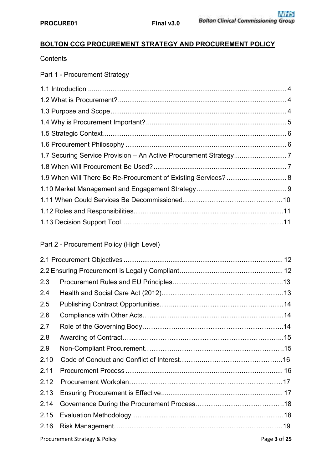## **BOLTON CCG PROCUREMENT STRATEGY AND PROCUREMENT POLICY**

**Contents** 

Part 1 - Procurement Strategy

## Part 2 - Procurement Policy (High Level)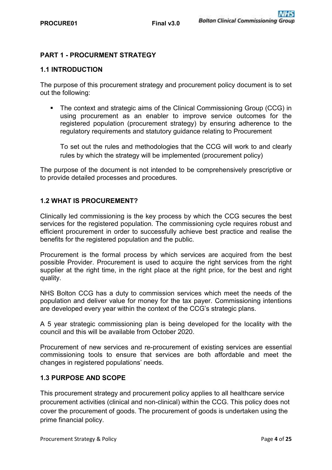#### **PART 1 - PROCURMENT STRATEGY**

#### **1.1 INTRODUCTION**

The purpose of this procurement strategy and procurement policy document is to set out the following:

 The context and strategic aims of the Clinical Commissioning Group (CCG) in using procurement as an enabler to improve service outcomes for the registered population (procurement strategy) by ensuring adherence to the regulatory requirements and statutory guidance relating to Procurement

To set out the rules and methodologies that the CCG will work to and clearly rules by which the strategy will be implemented (procurement policy)

The purpose of the document is not intended to be comprehensively prescriptive or to provide detailed processes and procedures.

#### **1.2 WHAT IS PROCUREMENT?**

Clinically led commissioning is the key process by which the CCG secures the best services for the registered population. The commissioning cycle requires robust and efficient procurement in order to successfully achieve best practice and realise the benefits for the registered population and the public.

Procurement is the formal process by which services are acquired from the best possible Provider. Procurement is used to acquire the right services from the right supplier at the right time, in the right place at the right price, for the best and right quality.

NHS Bolton CCG has a duty to commission services which meet the needs of the population and deliver value for money for the tax payer. Commissioning intentions are developed every year within the context of the CCG's strategic plans.

A 5 year strategic commissioning plan is being developed for the locality with the council and this will be available from October 2020.

Procurement of new services and re-procurement of existing services are essential commissioning tools to ensure that services are both affordable and meet the changes in registered populations' needs.

#### **1.3 PURPOSE AND SCOPE**

This procurement strategy and procurement policy applies to all healthcare service procurement activities (clinical and non-clinical) within the CCG. This policy does not cover the procurement of goods. The procurement of goods is undertaken using the prime financial policy.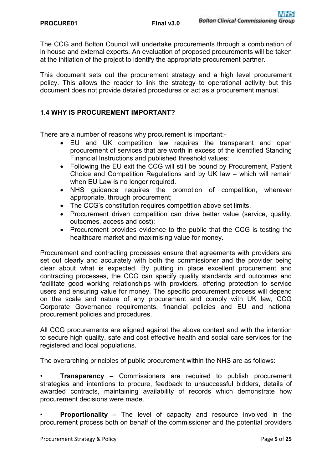The CCG and Bolton Council will undertake procurements through a combination of in house and external experts. An evaluation of proposed procurements will be taken at the initiation of the project to identify the appropriate procurement partner.

This document sets out the procurement strategy and a high level procurement policy. This allows the reader to link the strategy to operational activity but this document does not provide detailed procedures or act as a procurement manual.

#### **1.4 WHY IS PROCUREMENT IMPORTANT?**

There are a number of reasons why procurement is important:-

- EU and UK competition law requires the transparent and open procurement of services that are worth in excess of the identified Standing Financial Instructions and published threshold values;
- Following the EU exit the CCG will still be bound by Procurement, Patient Choice and Competition Regulations and by UK law – which will remain when EU Law is no longer required.
- NHS guidance requires the promotion of competition, wherever appropriate, through procurement;
- The CCG's constitution requires competition above set limits.
- Procurement driven competition can drive better value (service, quality, outcomes, access and cost);
- Procurement provides evidence to the public that the CCG is testing the healthcare market and maximising value for money.

Procurement and contracting processes ensure that agreements with providers are set out clearly and accurately with both the commissioner and the provider being clear about what is expected. By putting in place excellent procurement and contracting processes, the CCG can specify quality standards and outcomes and facilitate good working relationships with providers, offering protection to service users and ensuring value for money. The specific procurement process will depend on the scale and nature of any procurement and comply with UK law, CCG Corporate Governance requirements, financial policies and EU and national procurement policies and procedures.

All CCG procurements are aligned against the above context and with the intention to secure high quality, safe and cost effective health and social care services for the registered and local populations.

The overarching principles of public procurement within the NHS are as follows:

• **Transparency** – Commissioners are required to publish procurement strategies and intentions to procure, feedback to unsuccessful bidders, details of awarded contracts, maintaining availability of records which demonstrate how procurement decisions were made.

• **Proportionality** – The level of capacity and resource involved in the procurement process both on behalf of the commissioner and the potential providers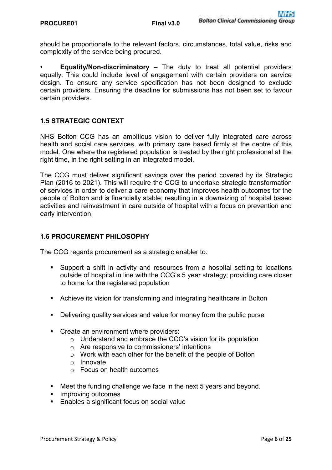should be proportionate to the relevant factors, circumstances, total value, risks and complexity of the service being procured.

• **Equality/Non-discriminatory** – The duty to treat all potential providers equally. This could include level of engagement with certain providers on service design. To ensure any service specification has not been designed to exclude certain providers. Ensuring the deadline for submissions has not been set to favour certain providers.

#### **1.5 STRATEGIC CONTEXT**

NHS Bolton CCG has an ambitious vision to deliver fully integrated care across health and social care services, with primary care based firmly at the centre of this model. One where the registered population is treated by the right professional at the right time, in the right setting in an integrated model.

The CCG must deliver significant savings over the period covered by its Strategic Plan (2016 to 2021). This will require the CCG to undertake strategic transformation of services in order to deliver a care economy that improves health outcomes for the people of Bolton and is financially stable; resulting in a downsizing of hospital based activities and reinvestment in care outside of hospital with a focus on prevention and early intervention.

#### **1.6 PROCUREMENT PHILOSOPHY**

The CCG regards procurement as a strategic enabler to:

- Support a shift in activity and resources from a hospital setting to locations outside of hospital in line with the CCG's 5 year strategy; providing care closer to home for the registered population
- Achieve its vision for transforming and integrating healthcare in Bolton
- Delivering quality services and value for money from the public purse
- **Create an environment where providers:** 
	- o Understand and embrace the CCG's vision for its population
	- o Are responsive to commissioners' intentions
	- o Work with each other for the benefit of the people of Bolton
	- o Innovate
	- o Focus on health outcomes
- Meet the funding challenge we face in the next 5 years and beyond.
- **Improving outcomes**
- **Enables a significant focus on social value**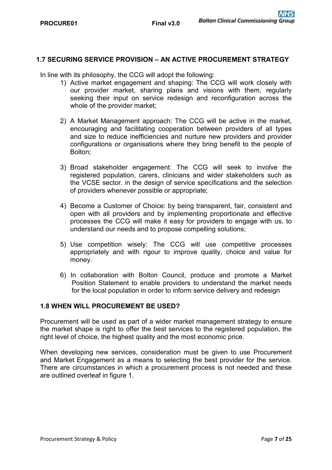#### **1.7 SECURING SERVICE PROVISION – AN ACTIVE PROCUREMENT STRATEGY**

In line with its philosophy, the CCG will adopt the following:

- 1) Active market engagement and shaping: The CCG will work closely with our provider market, sharing plans and visions with them, regularly seeking their input on service redesign and reconfiguration across the whole of the provider market;
- 2) A Market Management approach: The CCG will be active in the market, encouraging and facilitating cooperation between providers of all types and size to reduce inefficiencies and nurture new providers and provider configurations or organisations where they bring benefit to the people of Bolton;
- 3) Broad stakeholder engagement: The CCG will seek to involve the registered population, carers, clinicians and wider stakeholders such as the VCSE sector. in the design of service specifications and the selection of providers whenever possible or appropriate;
- 4) Become a Customer of Choice: by being transparent, fair, consistent and open with all providers and by implementing proportionate and effective processes the CCG will make it easy for providers to engage with us, to understand our needs and to propose compelling solutions;
- 5) Use competition wisely: The CCG will use competitive processes appropriately and with rigour to improve quality, choice and value for money.
- 6) In collaboration with Bolton Council, produce and promote a Market Position Statement to enable providers to understand the market needs for the local population in order to inform service delivery and redesign

#### **1.8 WHEN WILL PROCUREMENT BE USED?**

Procurement will be used as part of a wider market management strategy to ensure the market shape is right to offer the best services to the registered population, the right level of choice, the highest quality and the most economic price.

When developing new services, consideration must be given to use Procurement and Market Engagement as a means to selecting the best provider for the service. There are circumstances in which a procurement process is not needed and these are outlined overleaf in figure 1.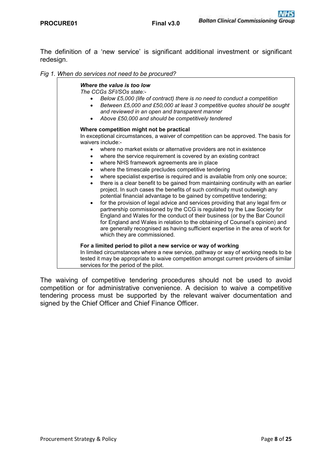The definition of a 'new service' is significant additional investment or significant redesign.

*Fig 1. When do services not need to be procured?*

#### *Where the value is too low The CCGs SFI/SOs state:- Below £5,000 (life of contract) there is no need to conduct a competition Between £5,000 and £50,000 at least 3 competitive quotes should be sought and reviewed in an open and transparent manner Above £50,000 and should be competitively tendered*  **Where competition might not be practical**  In exceptional circumstances, a waiver of competition can be approved. The basis for waivers include: where no market exists or alternative providers are not in existence • where the service requirement is covered by an existing contract where NHS framework agreements are in place where the timescale precludes competitive tendering where specialist expertise is required and is available from only one source; there is a clear benefit to be gained from maintaining continuity with an earlier project. In such cases the benefits of such continuity must outweigh any potential financial advantage to be gained by competitive tendering; for the provision of legal advice and services providing that any legal firm or partnership commissioned by the CCG is regulated by the Law Society for England and Wales for the conduct of their business (or by the Bar Council for England and Wales in relation to the obtaining of Counsel's opinion) and are generally recognised as having sufficient expertise in the area of work for which they are commissioned. **For a limited period to pilot a new service or way of working**  In limited circumstances where a new service, pathway or way of working needs to be tested it may be appropriate to waive competition amongst current providers of similar services for the period of the pilot.

The waiving of competitive tendering procedures should not be used to avoid competition or for administrative convenience. A decision to waive a competitive tendering process must be supported by the relevant waiver documentation and signed by the Chief Officer and Chief Finance Officer.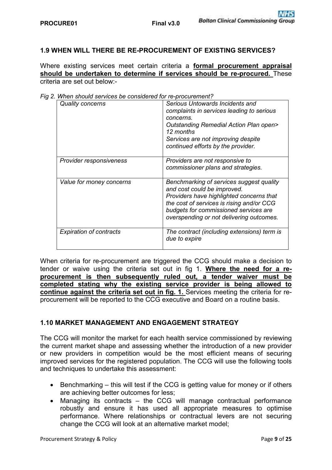#### **1.9 WHEN WILL THERE BE RE-PROCUREMENT OF EXISTING SERVICES?**

Where existing services meet certain criteria a **formal procurement appraisal should be undertaken to determine if services should be re-procured.** These criteria are set out below:-

| <u>WITCH SHOULD SERVICES DE CONSIDERED TOFF FOR OCUPENTE IN 2</u> |                                                               |
|-------------------------------------------------------------------|---------------------------------------------------------------|
| <b>Quality concerns</b>                                           | Serious Untowards Incidents and                               |
|                                                                   | complaints in services leading to serious                     |
|                                                                   | concerns.                                                     |
|                                                                   | <b>Outstanding Remedial Action Plan open&gt;</b><br>12 months |
|                                                                   | Services are not improving despite                            |
|                                                                   |                                                               |
|                                                                   | continued efforts by the provider.                            |
| Provider responsiveness                                           | Providers are not responsive to                               |
|                                                                   | commissioner plans and strategies.                            |
|                                                                   |                                                               |
| Value for money concerns                                          | Benchmarking of services suggest quality                      |
|                                                                   | and cost could be improved.                                   |
|                                                                   | Providers have highlighted concerns that                      |
|                                                                   |                                                               |
|                                                                   | the cost of services is rising and/or CCG                     |
|                                                                   | budgets for commissioned services are                         |
|                                                                   | overspending or not delivering outcomes.                      |
|                                                                   |                                                               |
| <b>Expiration of contracts</b>                                    | The contract (including extensions) term is                   |
|                                                                   | due to expire                                                 |

*Fig 2. When should services be considered for re-procurement?* 

When criteria for re-procurement are triggered the CCG should make a decision to tender or waive using the criteria set out in fig 1. **Where the need for a reprocurement is then subsequently ruled out, a tender waiver must be completed stating why the existing service provider is being allowed to continue against the criteria set out in fig. 1.** Services meeting the criteria for reprocurement will be reported to the CCG executive and Board on a routine basis.

#### **1.10 MARKET MANAGEMENT AND ENGAGEMENT STRATEGY**

The CCG will monitor the market for each health service commissioned by reviewing the current market shape and assessing whether the introduction of a new provider or new providers in competition would be the most efficient means of securing improved services for the registered population. The CCG will use the following tools and techniques to undertake this assessment:

- Benchmarking this will test if the CCG is getting value for money or if others are achieving better outcomes for less;
- Managing its contracts the CCG will manage contractual performance robustly and ensure it has used all appropriate measures to optimise performance. Where relationships or contractual levers are not securing change the CCG will look at an alternative market model;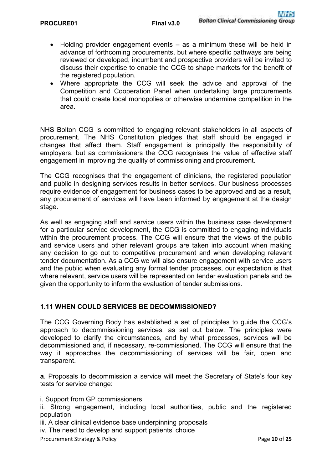- Holding provider engagement events as a minimum these will be held in advance of forthcoming procurements, but where specific pathways are being reviewed or developed, incumbent and prospective providers will be invited to discuss their expertise to enable the CCG to shape markets for the benefit of the registered population.
- Where appropriate the CCG will seek the advice and approval of the Competition and Cooperation Panel when undertaking large procurements that could create local monopolies or otherwise undermine competition in the area.

NHS Bolton CCG is committed to engaging relevant stakeholders in all aspects of procurement. The NHS Constitution pledges that staff should be engaged in changes that affect them. Staff engagement is principally the responsibility of employers, but as commissioners the CCG recognises the value of effective staff engagement in improving the quality of commissioning and procurement.

The CCG recognises that the engagement of clinicians, the registered population and public in designing services results in better services. Our business processes require evidence of engagement for business cases to be approved and as a result, any procurement of services will have been informed by engagement at the design stage.

As well as engaging staff and service users within the business case development for a particular service development, the CCG is committed to engaging individuals within the procurement process. The CCG will ensure that the views of the public and service users and other relevant groups are taken into account when making any decision to go out to competitive procurement and when developing relevant tender documentation. As a CCG we will also ensure engagement with service users and the public when evaluating any formal tender processes, our expectation is that where relevant, service users will be represented on tender evaluation panels and be given the opportunity to inform the evaluation of tender submissions.

#### **1.11 WHEN COULD SERVICES BE DECOMMISSIONED?**

The CCG Governing Body has established a set of principles to guide the CCG's approach to decommissioning services, as set out below. The principles were developed to clarify the circumstances, and by what processes, services will be decommissioned and, if necessary, re-commissioned. The CCG will ensure that the way it approaches the decommissioning of services will be fair, open and transparent.

**a**. Proposals to decommission a service will meet the Secretary of State's four key tests for service change:

i. Support from GP commissioners

ii. Strong engagement, including local authorities, public and the registered population

iii. A clear clinical evidence base underpinning proposals

iv. The need to develop and support patients' choice

Procurement Strategy & Policy **Page 10** of **25 Page 10** of **25**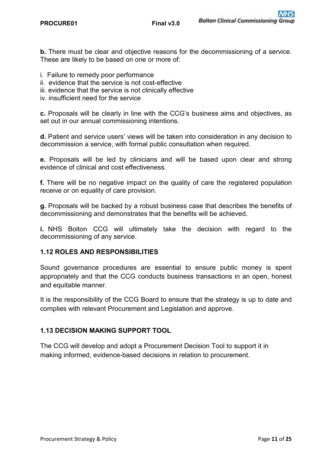**b.** There must be clear and objective reasons for the decommissioning of a service. These are likely to be based on one or more of:

- i. Failure to remedy poor performance
- ii. evidence that the service is not cost-effective
- iii. evidence that the service is not clinically effective
- iv. insufficient need for the service

**c.** Proposals will be clearly in line with the CCG's business aims and objectives, as set out in our annual commissioning intentions.

**d.** Patient and service users' views will be taken into consideration in any decision to decommission a service, with formal public consultation when required.

**e.** Proposals will be led by clinicians and will be based upon clear and strong evidence of clinical and cost effectiveness.

**f.** There will be no negative impact on the quality of care the registered population receive or on equality of care provision.

**g.** Proposals will be backed by a robust business case that describes the benefits of decommissioning and demonstrates that the benefits will be achieved.

**i.** NHS Bolton CCG will ultimately take the decision with regard to the decommissioning of any service.

#### **1.12 ROLES AND RESPONSIBILITIES**

Sound governance procedures are essential to ensure public money is spent appropriately and that the CCG conducts business transactions in an open, honest and equitable manner.

It is the responsibility of the CCG Board to ensure that the strategy is up to date and complies with relevant Procurement and Legislation and approve.

#### **1.13 DECISION MAKING SUPPORT TOOL**

The CCG will develop and adopt a Procurement Decision Tool to support it in making informed, evidence-based decisions in relation to procurement.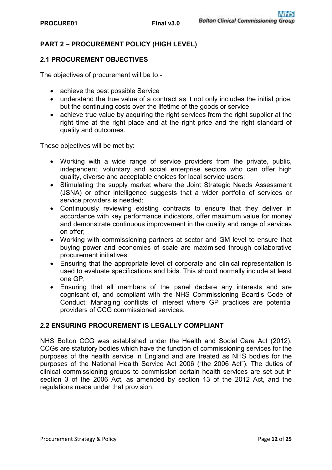## **PART 2 – PROCUREMENT POLICY (HIGH LEVEL)**

#### **2.1 PROCUREMENT OBJECTIVES**

The objectives of procurement will be to:-

- achieve the best possible Service
- understand the true value of a contract as it not only includes the initial price, but the continuing costs over the lifetime of the goods or service
- achieve true value by acquiring the right services from the right supplier at the right time at the right place and at the right price and the right standard of quality and outcomes.

These objectives will be met by:

- Working with a wide range of service providers from the private, public, independent, voluntary and social enterprise sectors who can offer high quality, diverse and acceptable choices for local service users;
- Stimulating the supply market where the Joint Strategic Needs Assessment (JSNA) or other intelligence suggests that a wider portfolio of services or service providers is needed;
- Continuously reviewing existing contracts to ensure that they deliver in accordance with key performance indicators, offer maximum value for money and demonstrate continuous improvement in the quality and range of services on offer;
- Working with commissioning partners at sector and GM level to ensure that buying power and economies of scale are maximised through collaborative procurement initiatives.
- Ensuring that the appropriate level of corporate and clinical representation is used to evaluate specifications and bids. This should normally include at least one GP;
- Ensuring that all members of the panel declare any interests and are cognisant of, and compliant with the NHS Commissioning Board's Code of Conduct: Managing conflicts of interest where GP practices are potential providers of CCG commissioned services.

#### **2.2 ENSURING PROCUREMENT IS LEGALLY COMPLIANT**

NHS Bolton CCG was established under the Health and Social Care Act (2012). CCGs are statutory bodies which have the function of commissioning services for the purposes of the health service in England and are treated as NHS bodies for the purposes of the National Health Service Act 2006 ("the 2006 Act"). The duties of clinical commissioning groups to commission certain health services are set out in section 3 of the 2006 Act, as amended by section 13 of the 2012 Act, and the regulations made under that provision.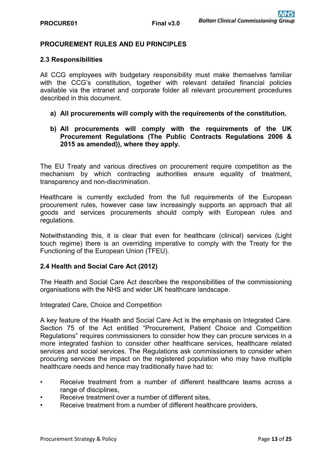#### **PROCUREMENT RULES AND EU PRINCIPLES**

#### **2.3 Responsibilities**

All CCG employees with budgetary responsibility must make themselves familiar with the CCG's constitution, together with relevant detailed financial policies available via the intranet and corporate folder all relevant procurement procedures described in this document.

**a) All procurements will comply with the requirements of the constitution.**

#### **b) All procurements will comply with the requirements of the UK Procurement Regulations (The Public Contracts Regulations 2006 & 2015 as amended)), where they apply.**

The EU Treaty and various directives on procurement require competition as the mechanism by which contracting authorities ensure equality of treatment, transparency and non-discrimination.

Healthcare is currently excluded from the full requirements of the European procurement rules, however case law increasingly supports an approach that all goods and services procurements should comply with European rules and regulations.

Notwithstanding this, it is clear that even for healthcare (clinical) services (Light touch regime) there is an overriding imperative to comply with the Treaty for the Functioning of the European Union (TFEU).

#### **2.4 Health and Social Care Act (2012)**

The Health and Social Care Act describes the responsibilities of the commissioning organisations with the NHS and wider UK healthcare landscape.

Integrated Care, Choice and Competition

A key feature of the Health and Social Care Act is the emphasis on Integrated Care. Section 75 of the Act entitled "Procurement, Patient Choice and Competition Regulations" requires commissioners to consider how they can procure services in a more integrated fashion to consider other healthcare services, healthcare related services and social services. The Regulations ask commissioners to consider when procuring services the impact on the registered population who may have multiple healthcare needs and hence may traditionally have had to:

- Receive treatment from a number of different healthcare teams across a range of disciplines,
- Receive treatment over a number of different sites,
- Receive treatment from a number of different healthcare providers,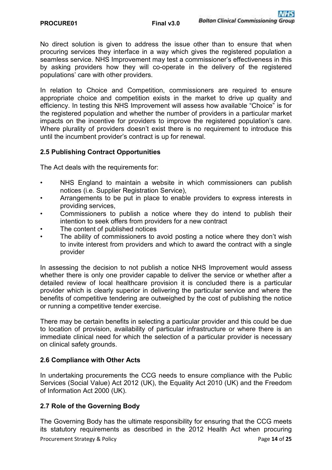No direct solution is given to address the issue other than to ensure that when procuring services they interface in a way which gives the registered population a seamless service. NHS Improvement may test a commissioner's effectiveness in this by asking providers how they will co-operate in the delivery of the registered populations' care with other providers.

In relation to Choice and Competition, commissioners are required to ensure appropriate choice and competition exists in the market to drive up quality and efficiency. In testing this NHS Improvement will assess how available "Choice" is for the registered population and whether the number of providers in a particular market impacts on the incentive for providers to improve the registered population's care. Where plurality of providers doesn't exist there is no requirement to introduce this until the incumbent provider's contract is up for renewal.

#### **2.5 Publishing Contract Opportunities**

The Act deals with the requirements for:

- NHS England to maintain a website in which commissioners can publish notices (i.e. Supplier Registration Service),
- Arrangements to be put in place to enable providers to express interests in providing services,
- Commissioners to publish a notice where they do intend to publish their intention to seek offers from providers for a new contract
- The content of published notices
- The ability of commissioners to avoid posting a notice where they don't wish to invite interest from providers and which to award the contract with a single provider

In assessing the decision to not publish a notice NHS Improvement would assess whether there is only one provider capable to deliver the service or whether after a detailed review of local healthcare provision it is concluded there is a particular provider which is clearly superior in delivering the particular service and where the benefits of competitive tendering are outweighed by the cost of publishing the notice or running a competitive tender exercise.

There may be certain benefits in selecting a particular provider and this could be due to location of provision, availability of particular infrastructure or where there is an immediate clinical need for which the selection of a particular provider is necessary on clinical safety grounds.

#### **2.6 Compliance with Other Acts**

In undertaking procurements the CCG needs to ensure compliance with the Public Services (Social Value) Act 2012 (UK), the Equality Act 2010 (UK) and the Freedom of Information Act 2000 (UK).

#### **2.7 Role of the Governing Body**

Procurement Strategy & Policy **Page 14** of **25 Page 14** of **25** The Governing Body has the ultimate responsibility for ensuring that the CCG meets its statutory requirements as described in the 2012 Health Act when procuring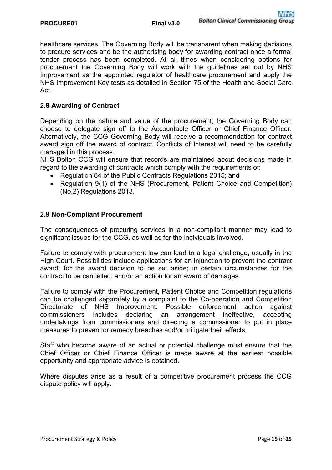healthcare services. The Governing Body will be transparent when making decisions to procure services and be the authorising body for awarding contract once a formal tender process has been completed. At all times when considering options for procurement the Governing Body will work with the guidelines set out by NHS Improvement as the appointed regulator of healthcare procurement and apply the NHS Improvement Key tests as detailed in Section 75 of the Health and Social Care Act.

#### **2.8 Awarding of Contract**

Depending on the nature and value of the procurement, the Governing Body can choose to delegate sign off to the Accountable Officer or Chief Finance Officer. Alternatively, the CCG Governing Body will receive a recommendation for contract award sign off the award of contract. Conflicts of Interest will need to be carefully managed in this process.

NHS Bolton CCG will ensure that records are maintained about decisions made in regard to the awarding of contracts which comply with the requirements of:

- Regulation 84 of the Public Contracts Regulations 2015; and
- Regulation 9(1) of the NHS (Procurement, Patient Choice and Competition) (No.2) Regulations 2013.

#### **2.9 Non-Compliant Procurement**

The consequences of procuring services in a non-compliant manner may lead to significant issues for the CCG, as well as for the individuals involved.

Failure to comply with procurement law can lead to a legal challenge, usually in the High Court. Possibilities include applications for an injunction to prevent the contract award; for the award decision to be set aside; in certain circumstances for the contract to be cancelled; and/or an action for an award of damages.

Failure to comply with the Procurement, Patient Choice and Competition regulations can be challenged separately by a complaint to the Co-operation and Competition Directorate of NHS Improvement. Possible enforcement action against commissioners includes declaring an arrangement ineffective, accepting undertakings from commissioners and directing a commissioner to put in place measures to prevent or remedy breaches and/or mitigate their effects.

Staff who become aware of an actual or potential challenge must ensure that the Chief Officer or Chief Finance Officer is made aware at the earliest possible opportunity and appropriate advice is obtained.

Where disputes arise as a result of a competitive procurement process the CCG dispute policy will apply.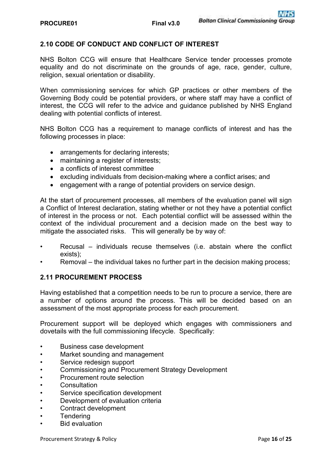#### **2.10 CODE OF CONDUCT AND CONFLICT OF INTEREST**

NHS Bolton CCG will ensure that Healthcare Service tender processes promote equality and do not discriminate on the grounds of age, race, gender, culture, religion, sexual orientation or disability.

When commissioning services for which GP practices or other members of the Governing Body could be potential providers, or where staff may have a conflict of interest, the CCG will refer to the advice and guidance published by NHS England dealing with potential conflicts of interest.

NHS Bolton CCG has a requirement to manage conflicts of interest and has the following processes in place:

- arrangements for declaring interests;
- maintaining a register of interests;
- a conflicts of interest committee
- excluding individuals from decision-making where a conflict arises; and
- engagement with a range of potential providers on service design.

At the start of procurement processes, all members of the evaluation panel will sign a Conflict of Interest declaration, stating whether or not they have a potential conflict of interest in the process or not. Each potential conflict will be assessed within the context of the individual procurement and a decision made on the best way to mitigate the associated risks. This will generally be by way of:

- Recusal individuals recuse themselves (i.e. abstain where the conflict exists);
- Removal the individual takes no further part in the decision making process;

#### **2.11 PROCUREMENT PROCESS**

Having established that a competition needs to be run to procure a service, there are a number of options around the process. This will be decided based on an assessment of the most appropriate process for each procurement.

Procurement support will be deployed which engages with commissioners and dovetails with the full commissioning lifecycle. Specifically:

- Business case development
- Market sounding and management
- Service redesign support
- Commissioning and Procurement Strategy Development
- Procurement route selection
- **Consultation**
- Service specification development
- Development of evaluation criteria
- Contract development
- **Tendering**
- Bid evaluation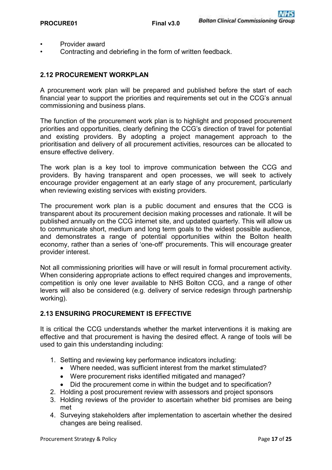- Provider award
- Contracting and debriefing in the form of written feedback.

#### **2.12 PROCUREMENT WORKPLAN**

A procurement work plan will be prepared and published before the start of each financial year to support the priorities and requirements set out in the CCG's annual commissioning and business plans.

The function of the procurement work plan is to highlight and proposed procurement priorities and opportunities, clearly defining the CCG's direction of travel for potential and existing providers. By adopting a project management approach to the prioritisation and delivery of all procurement activities, resources can be allocated to ensure effective delivery.

The work plan is a key tool to improve communication between the CCG and providers. By having transparent and open processes, we will seek to actively encourage provider engagement at an early stage of any procurement, particularly when reviewing existing services with existing providers.

The procurement work plan is a public document and ensures that the CCG is transparent about its procurement decision making processes and rationale. It will be published annually on the CCG internet site, and updated quarterly. This will allow us to communicate short, medium and long term goals to the widest possible audience, and demonstrates a range of potential opportunities within the Bolton health economy, rather than a series of 'one-off' procurements. This will encourage greater provider interest.

Not all commissioning priorities will have or will result in formal procurement activity. When considering appropriate actions to effect required changes and improvements, competition is only one lever available to NHS Bolton CCG, and a range of other levers will also be considered (e.g. delivery of service redesign through partnership working).

#### **2.13 ENSURING PROCUREMENT IS EFFECTIVE**

It is critical the CCG understands whether the market interventions it is making are effective and that procurement is having the desired effect. A range of tools will be used to gain this understanding including:

- 1. Setting and reviewing key performance indicators including:
	- Where needed, was sufficient interest from the market stimulated?
	- Were procurement risks identified mitigated and managed?
	- Did the procurement come in within the budget and to specification?
- 2. Holding a post procurement review with assessors and project sponsors
- 3. Holding reviews of the provider to ascertain whether bid promises are being met
- 4. Surveying stakeholders after implementation to ascertain whether the desired changes are being realised.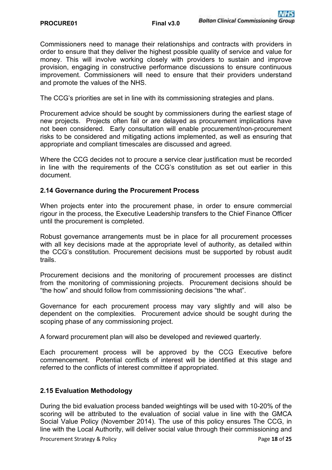Commissioners need to manage their relationships and contracts with providers in order to ensure that they deliver the highest possible quality of service and value for money. This will involve working closely with providers to sustain and improve provision, engaging in constructive performance discussions to ensure continuous improvement. Commissioners will need to ensure that their providers understand and promote the values of the NHS.

The CCG's priorities are set in line with its commissioning strategies and plans.

Procurement advice should be sought by commissioners during the earliest stage of new projects. Projects often fail or are delayed as procurement implications have not been considered. Early consultation will enable procurement/non-procurement risks to be considered and mitigating actions implemented, as well as ensuring that appropriate and compliant timescales are discussed and agreed.

Where the CCG decides not to procure a service clear justification must be recorded in line with the requirements of the CCG's constitution as set out earlier in this document.

#### **2.14 Governance during the Procurement Process**

When projects enter into the procurement phase, in order to ensure commercial rigour in the process, the Executive Leadership transfers to the Chief Finance Officer until the procurement is completed.

Robust governance arrangements must be in place for all procurement processes with all key decisions made at the appropriate level of authority, as detailed within the CCG's constitution. Procurement decisions must be supported by robust audit trails.

Procurement decisions and the monitoring of procurement processes are distinct from the monitoring of commissioning projects. Procurement decisions should be "the how" and should follow from commissioning decisions "the what".

Governance for each procurement process may vary slightly and will also be dependent on the complexities. Procurement advice should be sought during the scoping phase of any commissioning project.

A forward procurement plan will also be developed and reviewed quarterly.

Each procurement process will be approved by the CCG Executive before commencement. Potential conflicts of interest will be identified at this stage and referred to the conflicts of interest committee if appropriated.

#### **2.15 Evaluation Methodology**

During the bid evaluation process banded weightings will be used with 10-20% of the scoring will be attributed to the evaluation of social value in line with the GMCA Social Value Policy (November 2014). The use of this policy ensures The CCG, in line with the Local Authority, will deliver social value through their commissioning and

Procurement Strategy & Policy **Page 18** of **25 Page 18** of **25**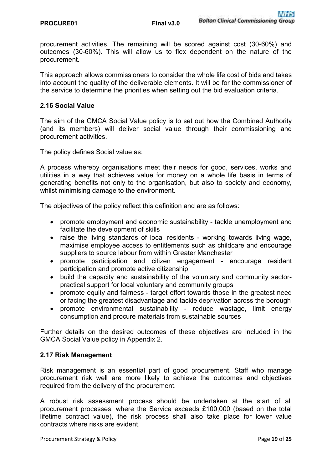procurement activities. The remaining will be scored against cost (30-60%) and outcomes (30-60%). This will allow us to flex dependent on the nature of the procurement.

This approach allows commissioners to consider the whole life cost of bids and takes into account the quality of the deliverable elements. It will be for the commissioner of the service to determine the priorities when setting out the bid evaluation criteria.

#### **2.16 Social Value**

The aim of the GMCA Social Value policy is to set out how the Combined Authority (and its members) will deliver social value through their commissioning and procurement activities.

The policy defines Social value as:

A process whereby organisations meet their needs for good, services, works and utilities in a way that achieves value for money on a whole life basis in terms of generating benefits not only to the organisation, but also to society and economy, whilst minimising damage to the environment.

The objectives of the policy reflect this definition and are as follows:

- promote employment and economic sustainability tackle unemployment and facilitate the development of skills
- raise the living standards of local residents working towards living wage, maximise employee access to entitlements such as childcare and encourage suppliers to source labour from within Greater Manchester
- promote participation and citizen engagement encourage resident participation and promote active citizenship
- build the capacity and sustainability of the voluntary and community sectorpractical support for local voluntary and community groups
- promote equity and fairness target effort towards those in the greatest need or facing the greatest disadvantage and tackle deprivation across the borough
- promote environmental sustainability reduce wastage, limit energy consumption and procure materials from sustainable sources

Further details on the desired outcomes of these objectives are included in the GMCA Social Value policy in Appendix 2.

#### **2.17 Risk Management**

Risk management is an essential part of good procurement. Staff who manage procurement risk well are more likely to achieve the outcomes and objectives required from the delivery of the procurement.

A robust risk assessment process should be undertaken at the start of all procurement processes, where the Service exceeds £100,000 (based on the total lifetime contract value), the risk process shall also take place for lower value contracts where risks are evident.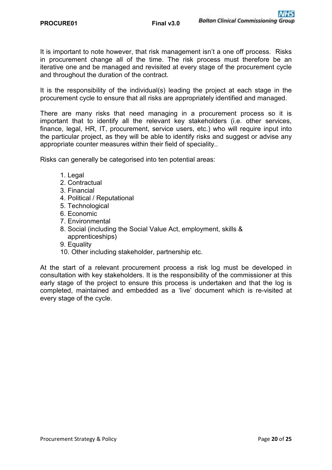It is important to note however, that risk management isn't a one off process. Risks in procurement change all of the time. The risk process must therefore be an iterative one and be managed and revisited at every stage of the procurement cycle and throughout the duration of the contract.

It is the responsibility of the individual(s) leading the project at each stage in the procurement cycle to ensure that all risks are appropriately identified and managed.

There are many risks that need managing in a procurement process so it is important that to identify all the relevant key stakeholders (i.e. other services, finance, legal, HR, IT, procurement, service users, etc.) who will require input into the particular project, as they will be able to identify risks and suggest or advise any appropriate counter measures within their field of speciality..

Risks can generally be categorised into ten potential areas:

- 1. Legal
- 2. Contractual
- 3. Financial
- 4. Political / Reputational
- 5. Technological
- 6. Economic
- 7. Environmental
- 8. Social (including the Social Value Act, employment, skills & apprenticeships)
- 9. Equality
- 10. Other including stakeholder, partnership etc.

At the start of a relevant procurement process a risk log must be developed in consultation with key stakeholders. It is the responsibility of the commissioner at this early stage of the project to ensure this process is undertaken and that the log is completed, maintained and embedded as a 'live' document which is re-visited at every stage of the cycle.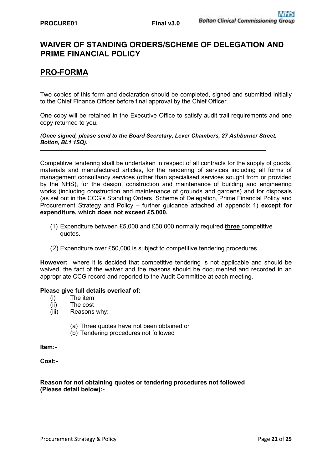## **WAIVER OF STANDING ORDERS/SCHEME OF DELEGATION AND PRIME FINANCIAL POLICY**

## **PRO-FORMA**

Two copies of this form and declaration should be completed, signed and submitted initially to the Chief Finance Officer before final approval by the Chief Officer.

One copy will be retained in the Executive Office to satisfy audit trail requirements and one copy returned to you.

#### *(Once signed, please send to the Board Secretary, Lever Chambers, 27 Ashburner Street, Bolton, BL1 1SQ).*

Competitive tendering shall be undertaken in respect of all contracts for the supply of goods, materials and manufactured articles, for the rendering of services including all forms of management consultancy services (other than specialised services sought from or provided by the NHS), for the design, construction and maintenance of building and engineering works (including construction and maintenance of grounds and gardens) and for disposals (as set out in the CCG's Standing Orders, Scheme of Delegation, Prime Financial Policy and Procurement Strategy and Policy – further guidance attached at appendix 1) **except for expenditure, which does not exceed £5,000.** 

- (1) Expenditure between £5,000 and £50,000 normally required **three** competitive quotes.
- (2) Expenditure over £50,000 is subject to competitive tendering procedures.

**However:** where it is decided that competitive tendering is not applicable and should be waived, the fact of the waiver and the reasons should be documented and recorded in an appropriate CCG record and reported to the Audit Committee at each meeting.

#### **Please give full details overleaf of:**

- (i) The item
- (ii) The cost
- (iii) Reasons why:
	- (a) Three quotes have not been obtained or
	- (b) Tendering procedures not followed

**Item:-** 

**Cost:-** 

#### **Reason for not obtaining quotes or tendering procedures not followed (Please detail below):-**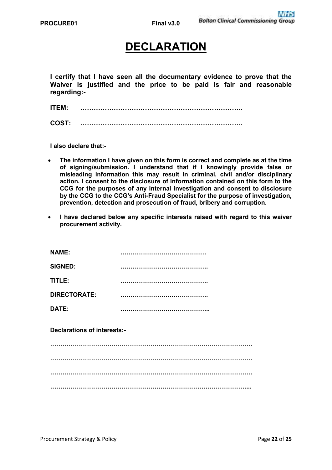## **DECLARATION**

**I certify that I have seen all the documentary evidence to prove that the Waiver is justified and the price to be paid is fair and reasonable regarding:-** 

**ITEM: ……………………………………………………………….** 

**COST: ……………………………………………………………….** 

**I also declare that:-** 

- **The information I have given on this form is correct and complete as at the time of signing/submission. I understand that if I knowingly provide false or misleading information this may result in criminal, civil and/or disciplinary action. I consent to the disclosure of information contained on this form to the CCG for the purposes of any internal investigation and consent to disclosure by the CCG to the CCG's Anti-Fraud Specialist for the purpose of investigation, prevention, detection and prosecution of fraud, bribery and corruption.**
- **I have declared below any specific interests raised with regard to this waiver procurement activity.**

| <b>NAME:</b>                       |  |  |
|------------------------------------|--|--|
| <b>SIGNED:</b>                     |  |  |
| TITLE:                             |  |  |
| <b>DIRECTORATE:</b>                |  |  |
| DATE:                              |  |  |
| <b>Declarations of interests:-</b> |  |  |

**……………………………………………………………………………………… ……………………………………………………………………………………… ……………………………………………………………………………………… ……………………………………………………………………………………...**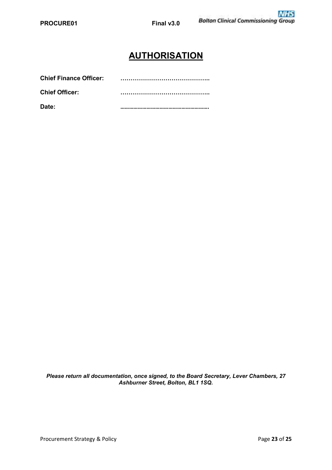## **AUTHORISATION**

| Date:                         |  |
|-------------------------------|--|
| <b>Chief Officer:</b>         |  |
| <b>Chief Finance Officer:</b> |  |

*Please return all documentation, once signed, to the Board Secretary, Lever Chambers, 27 Ashburner Street, Bolton, BL1 1SQ.*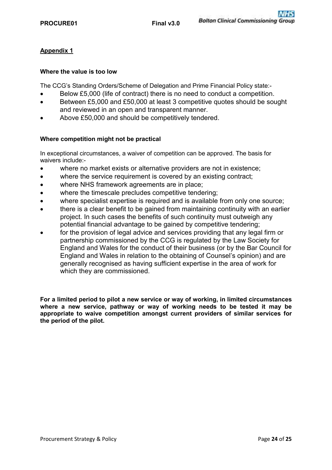#### **Appendix 1**

#### **Where the value is too low**

The CCG's Standing Orders/Scheme of Delegation and Prime Financial Policy state:-

- Below £5,000 (life of contract) there is no need to conduct a competition.
- Between £5,000 and £50,000 at least 3 competitive quotes should be sought and reviewed in an open and transparent manner.
- Above £50,000 and should be competitively tendered.

#### **Where competition might not be practical**

In exceptional circumstances, a waiver of competition can be approved. The basis for waivers include:-

- where no market exists or alternative providers are not in existence;
- where the service requirement is covered by an existing contract;
- where NHS framework agreements are in place;
- where the timescale precludes competitive tendering;
- where specialist expertise is required and is available from only one source;
- there is a clear benefit to be gained from maintaining continuity with an earlier project. In such cases the benefits of such continuity must outweigh any potential financial advantage to be gained by competitive tendering;
- for the provision of legal advice and services providing that any legal firm or partnership commissioned by the CCG is regulated by the Law Society for England and Wales for the conduct of their business (or by the Bar Council for England and Wales in relation to the obtaining of Counsel's opinion) and are generally recognised as having sufficient expertise in the area of work for which they are commissioned.

**For a limited period to pilot a new service or way of working, in limited circumstances where a new service, pathway or way of working needs to be tested it may be appropriate to waive competition amongst current providers of similar services for the period of the pilot.**